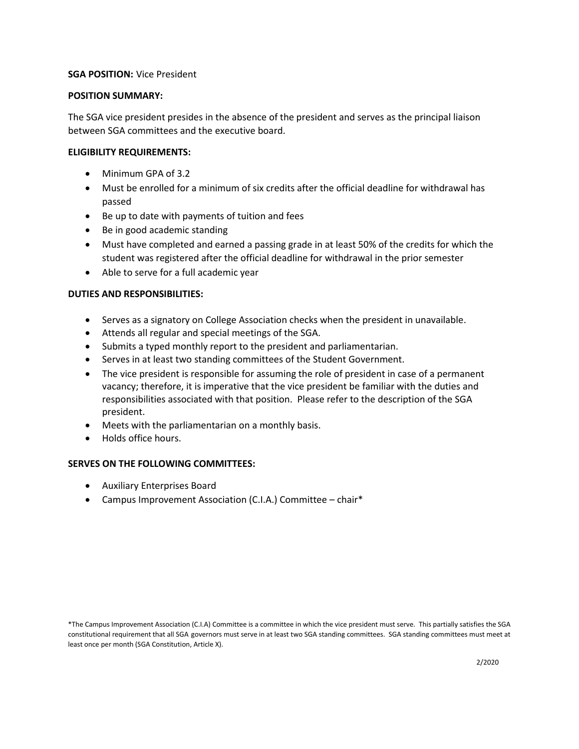# **SGA POSITION:** Vice President

### **POSITION SUMMARY:**

The SGA vice president presides in the absence of the president and serves as the principal liaison between SGA committees and the executive board.

## **ELIGIBILITY REQUIREMENTS:**

- Minimum GPA of 3.2
- Must be enrolled for a minimum of six credits after the official deadline for withdrawal has passed
- Be up to date with payments of tuition and fees
- Be in good academic standing
- Must have completed and earned a passing grade in at least 50% of the credits for which the student was registered after the official deadline for withdrawal in the prior semester
- Able to serve for a full academic year

# **DUTIES AND RESPONSIBILITIES:**

- Serves as a signatory on College Association checks when the president in unavailable.
- Attends all regular and special meetings of the SGA.
- Submits a typed monthly report to the president and parliamentarian.
- Serves in at least two standing committees of the Student Government.
- The vice president is responsible for assuming the role of president in case of a permanent vacancy; therefore, it is imperative that the vice president be familiar with the duties and responsibilities associated with that position. Please refer to the description of the SGA president.
- Meets with the parliamentarian on a monthly basis.
- Holds office hours.

# **SERVES ON THE FOLLOWING COMMITTEES:**

- Auxiliary Enterprises Board
- Campus Improvement Association (C.I.A.) Committee chair\*

<sup>\*</sup>The Campus Improvement Association (C.I.A) Committee is a committee in which the vice president must serve. This partially satisfies the SGA constitutional requirement that all SGA governors must serve in at least two SGA standing committees. SGA standing committees must meet at least once per month (SGA Constitution, Article X).